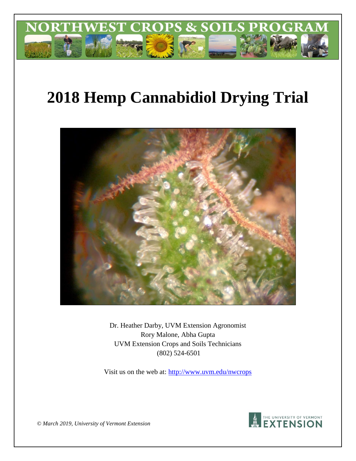

# **2018 Hemp Cannabidiol Drying Trial**



Dr. Heather Darby, UVM Extension Agronomist Rory Malone, Abha Gupta UVM Extension Crops and Soils Technicians (802) 524-6501

Visit us on the web at: http://www.uvm.edu/nwcrops



*© March 2019, University of Vermont Extension*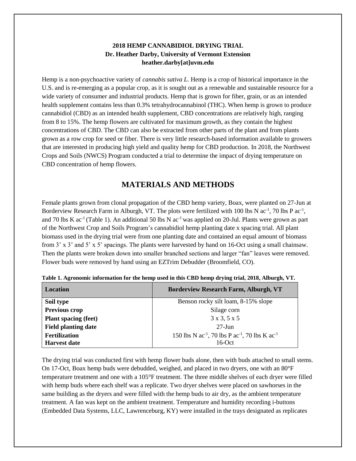#### **2018 HEMP CANNABIDIOL DRYING TRIAL Dr. Heather Darby, University of Vermont Extension heather.darby[at]uvm.edu**

Hemp is a non-psychoactive variety of *cannabis sativa L.* Hemp is a crop of historical importance in the U.S. and is re-emerging as a popular crop, as it is sought out as a renewable and sustainable resource for a wide variety of consumer and industrial products. Hemp that is grown for fiber, grain, or as an intended health supplement contains less than 0.3% tetrahydrocannabinol (THC). When hemp is grown to produce cannabidiol (CBD) as an intended health supplement, CBD concentrations are relatively high, ranging from 8 to 15%. The hemp flowers are cultivated for maximum growth, as they contain the highest concentrations of CBD. The CBD can also be extracted from other parts of the plant and from plants grown as a row crop for seed or fiber. There is very little research-based information available to growers that are interested in producing high yield and quality hemp for CBD production. In 2018, the Northwest Crops and Soils (NWCS) Program conducted a trial to determine the impact of drying temperature on CBD concentration of hemp flowers.

## **MATERIALS AND METHODS**

Female plants grown from clonal propagation of the CBD hemp variety, Boax, were planted on 27-Jun at Borderview Research Farm in Alburgh, VT. The plots were fertilized with 100 lbs N  $ac^{-1}$ , 70 lbs P  $ac^{-1}$ , and 70 lbs K  $ac^{-1}$  (Table 1). An additional 50 lbs N  $ac^{-1}$  was applied on 20-Jul. Plants were grown as part of the Northwest Crop and Soils Program's cannabidiol hemp planting date x spacing trial. All plant biomass used in the drying trial were from one planting date and contained an equal amount of biomass from 3' x 3' and 5' x 5' spacings. The plants were harvested by hand on 16-Oct using a small chainsaw. Then the plants were broken down into smaller branched sections and larger "fan" leaves were removed. Flower buds were removed by hand using an EZTrim Debudder (Broomfield, CO).

| <b>Location</b>             | <b>Borderview Research Farm, Alburgh, VT</b>                                       |
|-----------------------------|------------------------------------------------------------------------------------|
| Soil type                   | Benson rocky silt loam, 8-15% slope                                                |
| <b>Previous crop</b>        | Silage corn                                                                        |
| <b>Plant spacing (feet)</b> | 3x3, 5x5                                                                           |
| <b>Field planting date</b>  | $27 - \text{Jun}$                                                                  |
| <b>Fertilization</b>        | 150 lbs N ac <sup>-1</sup> , 70 lbs P ac <sup>-1</sup> , 70 lbs K ac <sup>-1</sup> |
| <b>Harvest date</b>         | $16$ -Oct                                                                          |

**Table 1. Agronomic information for the hemp used in this CBD hemp drying trial, 2018, Alburgh, VT.**

The drying trial was conducted first with hemp flower buds alone, then with buds attached to small stems. On 17-Oct, Boax hemp buds were debudded, weighed, and placed in two dryers, one with an 80°F temperature treatment and one with a 105°F treatment. The three middle shelves of each dryer were filled with hemp buds where each shelf was a replicate. Two dryer shelves were placed on sawhorses in the same building as the dryers and were filled with the hemp buds to air dry, as the ambient temperature treatment. A fan was kept on the ambient treatment. Temperature and humidity recording i-buttons (Embedded Data Systems, LLC, Lawrenceburg, KY) were installed in the trays designated as replicates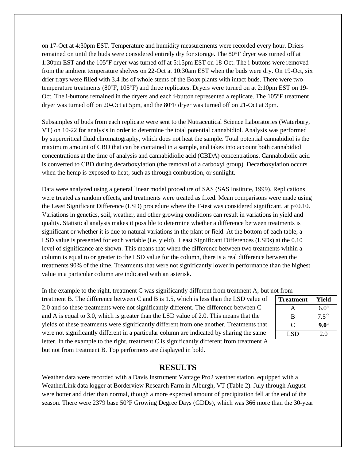on 17-Oct at 4:30pm EST. Temperature and humidity measurements were recorded every hour. Driers remained on until the buds were considered entirely dry for storage. The 80°F dryer was turned off at 1:30pm EST and the 105°F dryer was turned off at 5:15pm EST on 18-Oct. The i-buttons were removed from the ambient temperature shelves on 22-Oct at 10:30am EST when the buds were dry. On 19-Oct, six drier trays were filled with 3.4 lbs of whole stems of the Boax plants with intact buds. There were two temperature treatments (80°F, 105°F) and three replicates. Dryers were turned on at 2:10pm EST on 19- Oct. The i-buttons remained in the dryers and each i-button represented a replicate. The 105°F treatment dryer was turned off on 20-Oct at 5pm, and the 80°F dryer was turned off on 21-Oct at 3pm.

Subsamples of buds from each replicate were sent to the Nutraceutical Science Laboratories (Waterbury, VT) on 10-22 for analysis in order to determine the total potential cannabidiol. Analysis was performed by supercritical fluid chromatography, which does not heat the sample. Total potential cannabidiol is the maximum amount of CBD that can be contained in a sample, and takes into account both cannabidiol concentrations at the time of analysis and cannabidiolic acid (CBDA) concentrations. Cannabidiolic acid is converted to CBD during decarboxylation (the removal of a carboxyl group). Decarboxylation occurs when the hemp is exposed to heat, such as through combustion, or sunlight.

Data were analyzed using a general linear model procedure of SAS (SAS Institute, 1999). Replications were treated as random effects, and treatments were treated as fixed. Mean comparisons were made using the Least Significant Difference (LSD) procedure where the F-test was considered significant, at p<0.10. Variations in genetics, soil, weather, and other growing conditions can result in variations in yield and quality. Statistical analysis makes it possible to determine whether a difference between treatments is significant or whether it is due to natural variations in the plant or field. At the bottom of each table, a LSD value is presented for each variable (i.e. yield). Least Significant Differences (LSDs) at the 0.10 level of significance are shown. This means that when the difference between two treatments within a column is equal to or greater to the LSD value for the column, there is a real difference between the treatments 90% of the time. Treatments that were not significantly lower in performance than the highest value in a particular column are indicated with an asterisk.

In the example to the right, treatment C was significantly different from treatment A, but not from

treatment B. The difference between C and B is 1.5, which is less than the LSD value of 2.0 and so these treatments were not significantly different. The difference between C and A is equal to 3.0, which is greater than the LSD value of 2.0. This means that the yields of these treatments were significantly different from one another. Treatments that were not significantly different in a particular column are indicated by sharing the same letter. In the example to the right, treatment C is significantly different from treatment A but not from treatment B. Top performers are displayed in bold.

| <b>Treatment</b> | Yield            |  |  |  |
|------------------|------------------|--|--|--|
| А                | 6.0 <sup>b</sup> |  |  |  |
| B                | $7.5^{ab}$       |  |  |  |
| C                | 9.0 <sup>a</sup> |  |  |  |
| LSD              | 2.0              |  |  |  |

#### **RESULTS**

Weather data were recorded with a Davis Instrument Vantage Pro2 weather station, equipped with a WeatherLink data logger at Borderview Research Farm in Alburgh, VT (Table 2). July through August were hotter and drier than normal, though a more expected amount of precipitation fell at the end of the season. There were 2379 base 50°F Growing Degree Days (GDDs), which was 366 more than the 30-year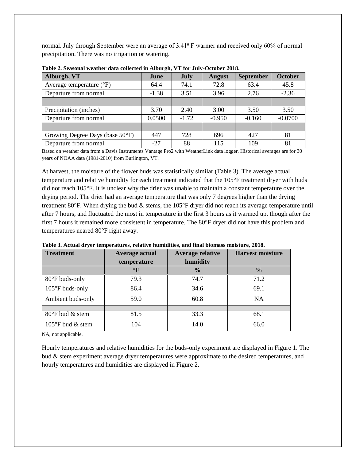normal. July through September were an average of 3.41<sup>o</sup> F warmer and received only 60% of normal precipitation. There was no irrigation or watering.

| Alburgh, VT                       | June    | <b>July</b> | <b>August</b> | <b>September</b> | <b>October</b> |
|-----------------------------------|---------|-------------|---------------|------------------|----------------|
| Average temperature $(^{\circ}F)$ | 64.4    | 74.1        | 72.8          | 63.4             | 45.8           |
| Departure from normal             | $-1.38$ | 3.51        | 3.96          | 2.76             | $-2.36$        |
|                                   |         |             |               |                  |                |
| Precipitation (inches)            | 3.70    | 2.40        | 3.00          | 3.50             | 3.50           |
| Departure from normal             | 0.0500  | $-1.72$     | $-0.950$      | $-0.160$         | $-0.0700$      |
|                                   |         |             |               |                  |                |
| Growing Degree Days (base 50°F)   | 447     | 728         | 696           | 427              | 81             |
| Departure from normal             | $-27$   | 88          | 115           | 109              | 81             |

**Table 2. Seasonal weather data collected in Alburgh, VT for July-October 2018.**

Based on weather data from a Davis Instruments Vantage Pro2 with WeatherLink data logger. Historical averages are for 30 years of NOAA data (1981-2010) from Burlington, VT.

At harvest, the moisture of the flower buds was statistically similar (Table 3). The average actual temperature and relative humidity for each treatment indicated that the 105°F treatment dryer with buds did not reach 105°F. It is unclear why the drier was unable to maintain a constant temperature over the drying period. The drier had an average temperature that was only 7 degrees higher than the drying treatment 80°F. When drying the bud & stems, the 105°F dryer did not reach its average temperature until after 7 hours, and fluctuated the most in temperature in the first 3 hours as it warmed up, though after the first 7 hours it remained more consistent in temperature. The 80°F dryer did not have this problem and temperatures neared 80°F right away.

| <b>Treatment</b>           | Average actual | <b>Average relative</b> | <b>Harvest moisture</b> |
|----------------------------|----------------|-------------------------|-------------------------|
|                            | temperature    | humidity                |                         |
|                            | $\circ$ F      | $\frac{0}{0}$           | $\frac{0}{0}$           |
| $80^{\circ}$ F buds-only   | 79.3           | 74.7                    | 71.2                    |
| 105°F buds-only            | 86.4           | 34.6                    | 69.1                    |
| Ambient buds-only          | 59.0           | 60.8                    | NA                      |
|                            |                |                         |                         |
| 80°F bud & stem            | 81.5           | 33.3                    | 68.1                    |
| $105^{\circ}$ F bud & stem | 104            | 14.0                    | 66.0                    |

**Table 3. Actual dryer temperatures, relative humidities, and final biomass moisture, 2018.** 

NA, not applicable.

Hourly temperatures and relative humidities for the buds-only experiment are displayed in Figure 1. The bud & stem experiment average dryer temperatures were approximate to the desired temperatures, and hourly temperatures and humidities are displayed in Figure 2.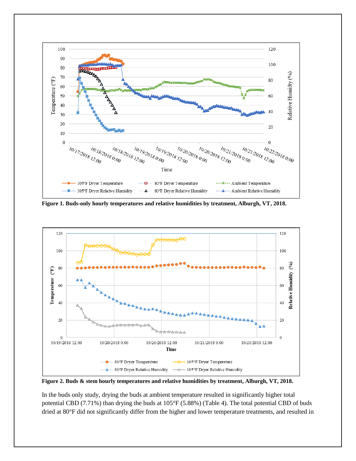

**Figure 1. Buds-only hourly temperatures and relative humidities by treatment, Alburgh, VT, 2018.** 



**Figure 2. Buds & stem hourly temperatures and relative humidities by treatment, Alburgh, VT, 2018.** 

In the buds only study, drying the buds at ambient temperature resulted in significantly higher total potential CBD (7.71%) than drying the buds at 105°F (5.88%) (Table 4). The total potential CBD of buds dried at 80°F did not significantly differ from the higher and lower temperature treatments, and resulted in